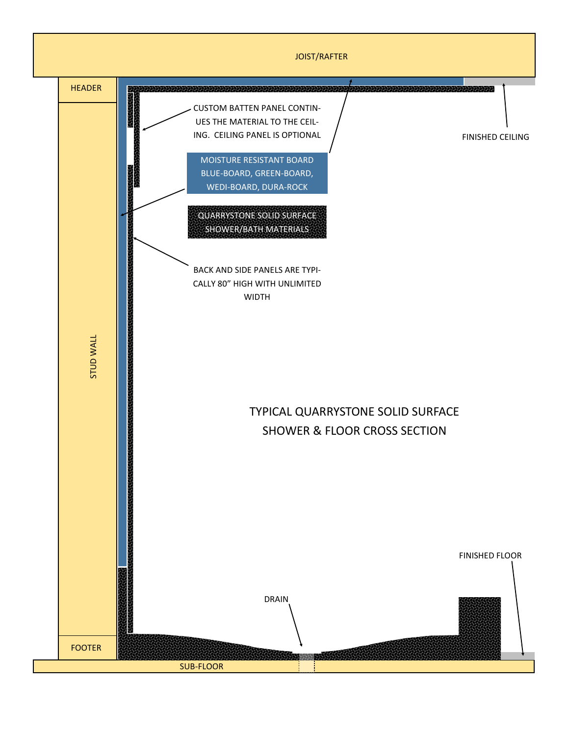